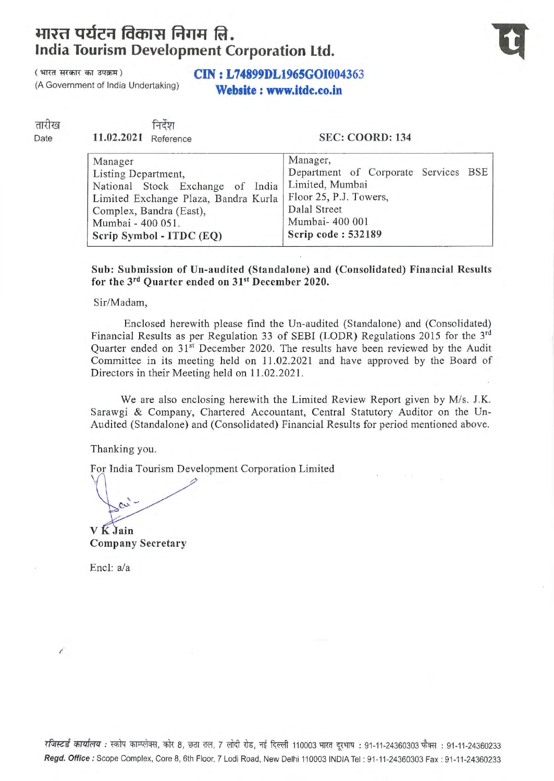## JJJ~n **QUct=r taaif11 f.trrJJ ftl. India Tourism Development Corporation Ltd.**



## ( भारत सरकार का उपक्रम)<br>(A Government of India Undertaking)<br>**Nicharate a supervisor of Section** Website : www.itdc.co.in

तारीख Date

निर्देश 11.02.2021 Reference

## SEC: COORD: 134

| Manager                                          | Manager,                             |  |  |  |  |  |
|--------------------------------------------------|--------------------------------------|--|--|--|--|--|
| Listing Department,                              | Department of Corporate Services BSE |  |  |  |  |  |
| National Stock Exchange of India Limited, Mumbai |                                      |  |  |  |  |  |
| Limited Exchange Plaza, Bandra Kurla             | Floor 25, P.J. Towers,               |  |  |  |  |  |
| Complex, Bandra (East),                          | Dalal Street                         |  |  |  |  |  |
| Mumbai - 400 051.                                | Mumbai- 400 001                      |  |  |  |  |  |
| Scrip Symbol - ITDC (EQ)                         | Scrip code: 532189                   |  |  |  |  |  |
|                                                  |                                      |  |  |  |  |  |

Sub: Submission of Un-audited (Standalone) and (Consolidated) Financial Results for the 3<sup>rd</sup> Quarter ended on 31<sup>st</sup> December 2020.

Sir/Madam,

Enclosed herewith please find the Un-audited (Standalone) and (Consolidated) Financial Results as per Regulation 33 of SEBI (LODR) Regulations 2015 for the 3rd Quarter ended on 31<sup>st</sup> December 2020. The results have been reviewed by the Audit Committee in its meeting held on 11.02.2021 and have approved by the Board of Directors in their Meeting held on 11.02.2021.

We are also enclosing herewith the Limited Review Report given by *Mis.* J.K. Sarawgi & Company, Chartered Accountant, Central Statutory Auditor on the Un-Audited (Standalone) and (Consolidated) Financial Results for period mentioned above.

Thanking you.

For India Tourism Development Corporation Limited

 $\sim$ 

V K Jain Company Secretary

Encl: a/a

रजिस्टर्ड कार्यालय: स्कोप काम्प्लेक्स, कोर 8, छठा तल, 7 लोदी रोड, नई दिल्ली 110003 भारत दूरभाष: 91-11-24360303 फैक्स: 91-11-24360233 Regd. Office: Scope Complex, Core 8, 6th Floor, 7 Lodi Road, New Delhi 110003 INDIA Tel : 91-11-24360303 Fax: 91-11-24360233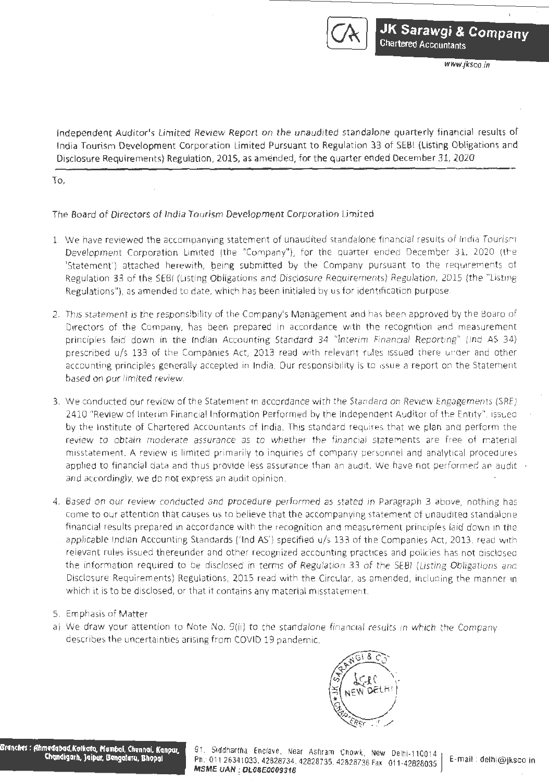

www.fksco.m

Independent Auditor's Limited Review Report on the unaudited standalone quarterly financial results of India Tourism Development Corporation Limited Pursuant to Regulation 33 of SEBI (Listing Obligations and Disclosure Requirements) Regulation, 2015, as amended, for the quarter ended December 31, 2020

To,

The Board of Directors of India Tourism Development Corporation Limited

- 1. We have reviewed the accompanying statement of unaudited standalone financial results of India Tourism Development Corporation Limited (the "Company"}, for the quarter ended December 31, 2020 (the 'Statement') attached herewith, being submitted by the Company pursuant to the requirements of Regulation 33 of the SEBI (Listing Obligations and Disclosure Requirements) Regulation, 2015 (the "Listing Regulations"), as amended to date, which has been initialed by us for identification purpose.
- 2. This statement is the responsibility of the Company's Management and has been approved by the Board of Directors of the Company, has been prepared in accordance with the recognition and measurement principles laid down in the Indian Accounting Standard 34 "Interim Financial Reporting" (Ind AS 34) prescribed u/s 133 of the Companies Act, 2013 read with relevant rules issued there under and other accounting principles generally accepted in India. Our responsibility is to issue a report on the Statement based on pur limited review.
- 3. We conducted our review of the Statement in accordance with the Standard on Review Engagements (SRE) 2410 "Review of Interim Financial Information Performed by the Independent Auditor of the Entity", issued by the Institute of Chartered Accountants of India. This standard requires that we plan and perform the review. to obtain moderate assurance as to whether the financial statements are free of material misstatement. A review is limited primarily to inquiries of company personnel and analytical procedures applied to financial data and thus provide less assurance than an audit. We have not performed an audit  $\rightarrow$ and accordingly, we do not express an audit opinion.
- 4. Based on our review conducted and procedure performed as stated in Paragraph 3 above, nothing has come to our attention that causes us to believe that the accompanying statement of unaudited standalone financial results prepared in accordance with the recognition and measurement principles laid down in the . applicable Indian Accounting Standards ('Ind AS') specified u/s 133 of the Companies Act, 2013, read with relevant rules issued thereunder and other recognized accounting practices and policies has not disclosed the information required to be disclosed in terms of Regulation 33 of the SEBI (Listing Obligations and Disclosure Requirements) Regulations, 2015 read with the Circular, as amended, including the manner in which it is to be disclosed, or that it contains any material misstatement.
- 5. Emphasis of Matter
- a) We draw your attention to Note No. 9(ii) to the standalone financial results in which the Company describes the uncertainties arising from COVID 19 pandemic.



Branches : Ahmedabad,Kolkata, Mumbai, Chennai, Kanpur.<br>Chandigarh, Jaipur, Bengaluru, Bhopal

91. Siddhartha Enclave, Near Ashram Chowk, New Delhi-110014 Ph. 011 26341033, 42828734, 42828735, 42828736 Fax: 011-42828035 | E-mail: delhi@jksco.in MSME UAN : DL08E0009318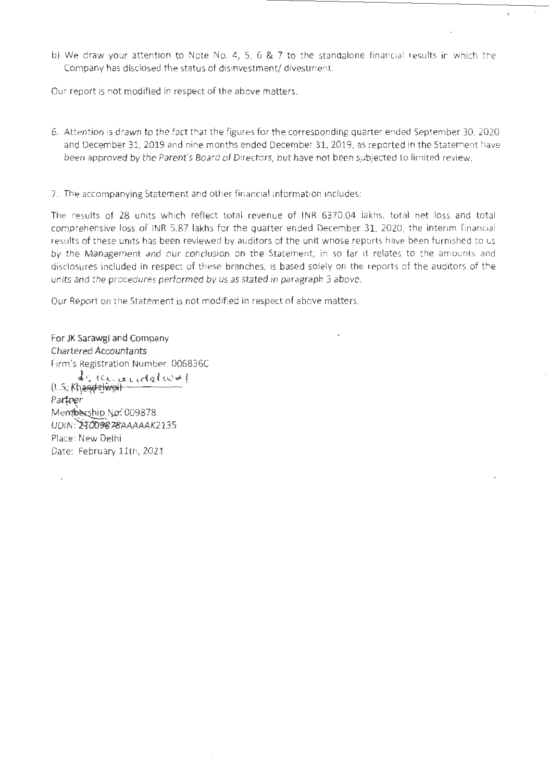b) We draw your attention to Note No. 4, 5, 6 & 7 to the standalone financial results in which the Company has disclosed the status of disinvestment/ divestment.

Our report is not modified in respect of the above matters.

- 6. Attention is drawn to the fact that the figures for the corresponding quarter ended September 30, 2020 and December 31, 2019 and nine months ended December 31, 2019, as reported in the Statement have been approved by the Parent's Board of Directors, but have not been subjected to limited review.
- 7. The accompanying Sfatement and other financial information includes:

The results of 28 units which reflect total revenue of INR 6370.04 lakhs, total net loss and total comprehensive loss of INR 5.87 lakhs for the quarter ended December 31, 2020, the interim financial results of these units has been reviewed by auditors of the unit whose reports have been furnished to us by the Management and our conclusion on the Statement, in so far 1t relates to the amounts and disclosures included in respect of these branches, is based solely on the reports of the auditors of the units and the procedures performed by us as stated in paragraph 3 above.

Our Report on the Statement is not modified in respect of above matters.

For JK Sarawgi and Company Chartered Accountants Firm's Registration Number: 006836C  $d$ stuandel $\infty$ (L.S. Khandelwal) Partner ~Membership No: 009878<br>UDIN: 24009878AAAAAK2135 Place: New Delhi Date: February 11th, 2021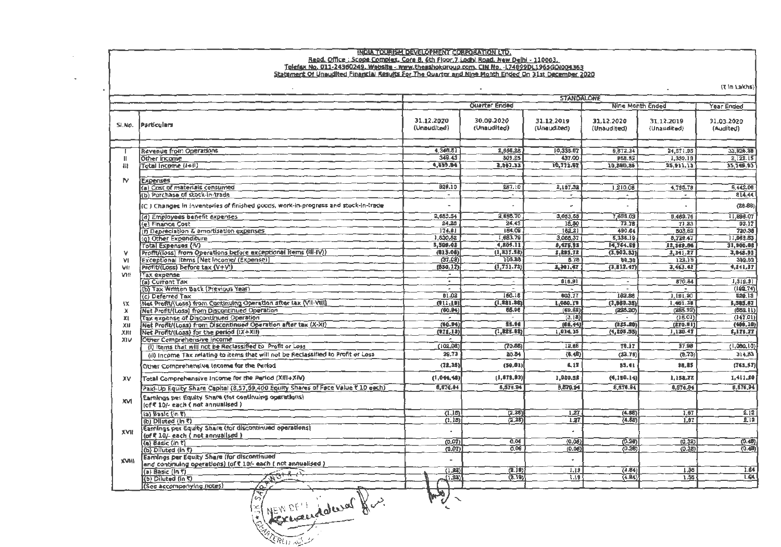# HOIA TOURISM DEVELOPMENT CORPORATION LTD.<br>Read. Office : Scope Complex. Core 8. 6th Floor, 7 Ladh! Road. New Delhi - 110003.<br>Telefax No. 011-24360249. Website - www.theashokoroup.com. CIN No. -174899011965600004363<br>Stateme

 $Z$  in Lakher

|              |                                                                                           | <b>STANDALOWE</b>         |                           |                           |                           |                           |                         |
|--------------|-------------------------------------------------------------------------------------------|---------------------------|---------------------------|---------------------------|---------------------------|---------------------------|-------------------------|
|              |                                                                                           |                           | <b>Quarter Ended</b>      |                           |                           | Nine Month Ended          | <b>Year Ended</b>       |
| SI.No.       | Particulars                                                                               | 31.12.2020<br>(Unaudited) | 30.09.2020<br>(Unaudited) | 31.12.2019<br>(Unaudited) | 31.12.2020<br>(Unaudited) | 31.12.2019<br>(Unaudited) | 31.03.2020<br>(Audited) |
|              |                                                                                           |                           |                           |                           |                           |                           |                         |
|              | <b>Revenue from Operations</b>                                                            | 4,346.51                  | 2,656.28                  | 10.335.67                 | 9,872.34                  | 34,571.95                 | 33,626,88               |
| $\mathbf{I}$ | Other Income                                                                              | 349.43                    | 309.25                    | 437.00                    | 968.52                    | 1,339.18                  | 2,122,15                |
| $\mathbf{H}$ | Total Income (I+II)                                                                       | 4,699.94                  | 2.067.53                  | 10,772.62                 | 10,860.86                 | 25,911.13                 | 35, 749.03              |
|              |                                                                                           |                           |                           |                           |                           |                           |                         |
| <b>N</b>     | Expenses<br>(a) Cost of materials consumed                                                | B28.10                    | 387.10                    |                           |                           |                           |                         |
|              | (b) Purchase of stock-in-trade                                                            | $\sim$                    |                           | 2,187.32                  | 1,210.08                  | 4.795.78                  | 6,442.06                |
|              |                                                                                           |                           |                           | $\overline{\phantom{a}}$  | $\overline{\phantom{a}}$  | $\overline{\phantom{a}}$  | 814.44                  |
|              | (C ) Changes in inventories of finished goods, work-in-progress and stock-in-trade        |                           |                           | $\overline{a}$            |                           |                           | (28.66)                 |
|              | (d) Employees benefit expenses                                                            | 2,653.54                  | 2,655.70                  | 3,053.55                  | 7,658.03                  | 8,469.76                  | 11,896.07               |
|              | (e) Finance Cost                                                                          | 24.28                     | 24.43                     | 18.50                     | 72.78                     | 71.23                     | 92,17                   |
|              | (f) Depreciation & amortisation expenses                                                  | 174.61                    | 154.09                    | 162.21                    | 490.64                    | 503,62                    | 720.38                  |
|              | (g) Other Expenditure                                                                     | 1,830.52                  | 1,683.79                  | 3,085.37                  | 5,336.19                  | 8,729.47                  | 11,963.83               |
| v            | Total Expenses (IV)<br>Profit/(loss) from Operations before exceptional items (iii-IV))   | 5,509.02                  | 4,805.11                  | 8,476.95                  | 14,764.68                 | 22,569.86                 | 31,900,08               |
| M            | Exceptional Items [Net Income/ (Expense)]                                                 | (213.08)<br>(37,09)       | (1, 837.58)<br>105.85     | 2,295.72<br>5.76          | (3, 903, 83)              | 3,341.27                  | 3,848.95                |
| VII          | Profit/(Loss) before tax (V+V!)                                                           | (850, 17)                 | (1, 731, 73)              | 2,301.47                  | 88.36<br>(3, 813, 47)     | 122.16<br>3,463,43        | 392.62<br>4,241,37      |
| <b>Viit</b>  | Tax expense                                                                               | $\overline{\phantom{a}}$  |                           |                           |                           |                           |                         |
|              | (a) Current Tax                                                                           | $\bullet$                 | $\sim$                    | 616.91                    | $\overline{\phantom{0}}$  | 870.84                    | 1,319.31                |
|              | (b) Tax Written Back (Previous Year)                                                      | $\overline{\phantom{a}}$  |                           | $\sim$                    |                           |                           | (192.74)                |
|              | (c) Deferred Tax                                                                          | 01,02                     | 150.15                    | 603.77                    | 162.88                    | 1,191.20                  | 529.13                  |
| $1\times$    | Net Profit/(Loss) from Continuing Operation after tax (VII-VIII)                          | (11.19)                   | (1, 881.86)               | 1,080.79                  | (3, 980.35)               | 1,401.38                  | 1,585.87                |
| $\mathbf x$  | Net Profit/(Loss) from Discontinued Operation                                             | (60.94)                   | 55.96                     | (69.62)                   | (228.20)                  | (285.92)                  | (556.11)                |
| ЖI           | Tax expense of Discontinued Operation                                                     | $\sim$                    | $\tilde{\phantom{a}}$     | (3.18)                    | $\overline{a}$            | (16.01)                   | (147.01)                |
| хи           | Net Profit/(Loss) from Discontinued Operation after tax (X-XI)                            | (60.94)                   | 55.94                     | (66.44)                   | (225.20)                  | (270.91)                  | (400.10)                |
| ХЩ           | Net Profit/(Loss) for the period (IX+XII)                                                 | (022.13)                  | (1, 125.02)               | 1,014.35                  | (4, 205.55)               | 1,130.47                  | 2,176.77                |
| XIV          | Other Comprehensive Income                                                                | $\sim$                    |                           |                           |                           |                           |                         |
|              | (I) Items that will not be Reclassified to Profit or Loss                                 | (103.08)                  | (70.55)                   | 12,66                     | 78.17                     | 37.98                     | (1,080,10)              |
|              | (ii) Income Tax relating to items that will not be Reclassified to Profit or Loss         | 29,73                     | 20.84                     | (6, 48)                   | (23.76)                   | (9.73)                    | 314.83                  |
|              | Other Comprehensive income for the Period                                                 | (72.35)                   | (50.81)                   | 6,17                      | 55.41                     | \$8.85                    | (763.57)                |
| xv           | Total Comprehensive Income for the Period (XIII+XIV)                                      | (1, 044, 48)              | (1, 013, 93)              | 1,020.52                  | (4,150.14)                | 1,158.72                  | 1,411.20                |
|              | Paid-Up Equity Share Capital (8,57,69,400 Equity Shares of Face Value ₹ 10 each)          | 6,576.84                  | 8.578.94                  | 8.876.94                  | 8,576.94                  | 8.676.94                  | 8.876.94                |
| <b>NX</b>    | Earnings per Equity Share (for continuing operations)<br>(of ₹ 10/- each (not annualised) |                           |                           |                           |                           |                           |                         |
|              | (a) Basic (in ₹)                                                                          | (1.15)                    | (2.35)                    | 1.27                      | (4.58)                    | 1.6T                      | 2.12                    |
|              | (b) Diluted (in ₹)                                                                        | (1, 15)                   | (2.25)                    | 1.27                      | (4.88)                    | 1.87                      | 212                     |
| <b>NVK</b>   | Earnings per Equity Share (for discontinued operations)                                   |                           |                           |                           |                           |                           |                         |
|              | (of ₹ 10/- each ( not annualised )                                                        |                           |                           |                           |                           |                           |                         |
|              | (a) Basic (in t)                                                                          | (0.07)                    | 0.06                      | (0.08)                    | (0.20)                    | (0.32)                    | (0.48)                  |
|              | (b) Diluted (in C)                                                                        | (0.07)                    | 0.08                      | (0.06)                    | (0.26)                    | (0.32)                    | (0,40)                  |
| <b>INVX</b>  | Earnings per Equity Share (for discontinued                                               |                           |                           |                           |                           |                           |                         |
|              | and continuing operations) (of ₹ 10/- each ( not annualised )                             | (1.23)                    |                           |                           |                           |                           | 1.64                    |
|              | (a) Basic ( $\ln t$ )<br>(b) Diluted (in C)                                               | (1.32)                    | (2.10)<br>(2.19)          | 1,19<br>7.19              | (4.84)<br>(4.84)          | 1.36<br>1.35              | 1.64                    |
|              | డి<br>(See accompanying notes)                                                            |                           |                           |                           |                           |                           |                         |
|              |                                                                                           | ەد                        |                           |                           |                           |                           |                         |
|              | $\sqrt{8}$<br>1.1<br>حن<br>$-1100$<br>R                                                   | ی                         |                           |                           |                           |                           |                         |

REW DE L'adwel for.

 $\sim$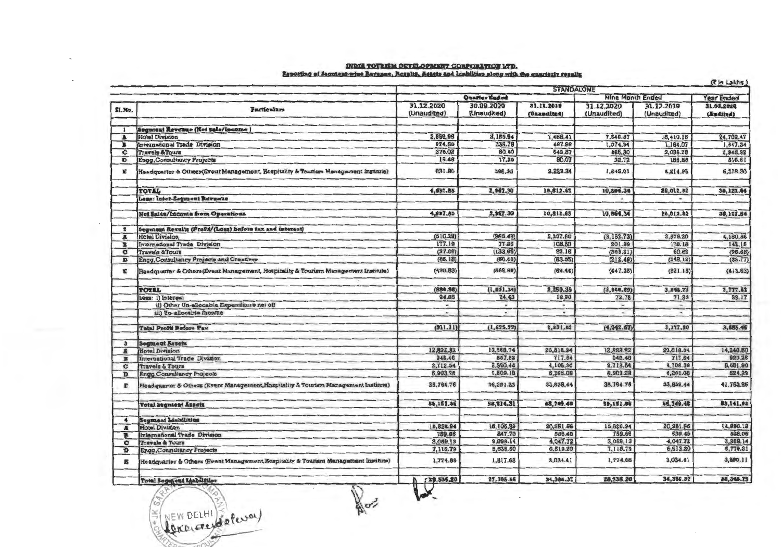## NDIA TOURISM DEVELOPMENT CORPORATION LTD.<br>Reporting of Segmant-wise Revasae, Resalts, Assats and Liabilities along with the suarissiv resalts

|                         |                                                                                     | (₹ in Lakhs)<br><b>STANDALONE</b> |                           |                           |                           |                           |                         |  |
|-------------------------|-------------------------------------------------------------------------------------|-----------------------------------|---------------------------|---------------------------|---------------------------|---------------------------|-------------------------|--|
|                         |                                                                                     |                                   | Year Ended                |                           |                           |                           |                         |  |
| SI.No.                  | <b>Particulars</b>                                                                  | 31.12.2020<br>(Unaudited)         | 30.09.2020<br>(Unaudited) | 31.12.2019<br>(Unaudited) | 31.12.2020<br>(Unaudited) | 31.12.2019<br>(Unaudited) | 31.03.2020<br>(Audited) |  |
|                         | Segment Revenue (Net sale/income)                                                   |                                   |                           |                           |                           |                           |                         |  |
| А                       | <b>Hotel Division</b>                                                               | 2,899.96                          | 2,155.54                  | 7,488.41                  | 7,646.37                  | 18,410.16                 | 24,702.47               |  |
| в                       | International Trade Division                                                        | 574.69                            | 335.78                    | 467.96                    | 1,074.94                  | 1,164.07                  | 1,647.34                |  |
| c                       | <b>Travels &amp;Tours</b>                                                           | 376.02                            | 60.40                     | 542.87                    | 466.30                    | 2,036.78                  | 2,942.92                |  |
| D                       | <b>Engg.Consultancy Projects</b>                                                    | 15.46                             | 17.25                     | 80.07                     | 32.72                     | 186.85                    | 516.61                  |  |
| E                       | Headquarter & Others (Event Management, Hospitality & Tourism Management Institute) | 831.80                            | 398.33                    | 3,223.34                  | 1,645.01                  | 4,214.96                  | 6,318.30                |  |
|                         | TOTAL                                                                               | 4,697.85                          | 2,947.30                  | 10,812.65                 | 10,864.34                 | 26,012.82                 | 36,127.64               |  |
|                         | Less: Inter-Segment Revenue                                                         |                                   |                           |                           |                           |                           |                         |  |
|                         | <b>Net Sales/Income from Operations</b>                                             | 4,697.85                          | 2,967.30                  | 10,812.65                 | 10,864.34                 | 26,012.82                 | 36,127.64               |  |
| $\overline{\mathbf{z}}$ | Segment Results (Profit/(Loss) before tax and interest)                             |                                   |                           |                           |                           |                           |                         |  |
| Ā                       | <b>Hotel Division</b>                                                               | (810.29)                          | (966.49)                  | 2,237.68                  | (3, 153.73)               | 3,579.20                  | 4,180.56                |  |
| в                       | International Trade Division                                                        | 177.19                            | 77.26                     | 108.80                    | 201.89                    | 178.18                    | 142.15                  |  |
| c                       | <b>Travels &amp;Tours</b>                                                           | (37.08)                           | (133.96)                  | 52.16                     | (389.21)                  | 60.62                     | (98.68)                 |  |
| D                       | Engg, Consultancy Projects and Creatives                                            | (86.18)                           | (60.46)                   | (83.55)                   | (212.49)                  | (248.12)                  | (32.77)                 |  |
| E                       | Headquarter & Others (Event Management, Hospitality & Tourism Management Institute) | (430.53)                          | (560.69)                  | (64.44)                   | (447.38)                  | (321.15)                  | (413.63)                |  |
|                         | <b>TOTAL</b>                                                                        | (88, 86)                          | (1, 651.34)               | 2,250.35                  | (3,969,89)                | 3,248.73                  | 3,777.63                |  |
|                         | Less: i) Interest                                                                   | 34.25                             | 24.43                     | 18,50                     | 72.78                     | 71.23                     | 83.17                   |  |
|                         | ii) Other Un-allocable Expenditure net off                                          | $\sim$                            | $\sim$                    | $\sim$                    | w.                        | $\overline{\phantom{a}}$  |                         |  |
|                         | iii) Un-allocable Income                                                            | $\sim$                            | $\sim$                    | ٠                         | $\sim$                    | ۰                         |                         |  |
|                         | <b>Total Profit Before Tax</b>                                                      | (911.11)                          | (1, 675, 77)              | 2,231.85                  | (4,042.67)                | 3,177.50                  | 3,685.46                |  |
| 3                       | <b>Segment Assets</b>                                                               |                                   |                           |                           |                           |                           |                         |  |
| 區                       | <b>Hotel Division</b>                                                               | 12,822.82                         | 13,568.74                 | 23,816.94                 | 13,822.82                 | 23,818.94                 | 14,248.60               |  |
| в                       | International Trade Division                                                        | 948.46                            | 857.82                    | 717.64                    | 948.46                    | 717.64                    | 923.28                  |  |
| c                       | <b>Travels &amp; Tours</b>                                                          | 2,712.54                          | 2,590.44                  | 4,108.36                  | 2,712.54                  | 4,108.36                  | 8,681.90                |  |
| D                       | <b>Engg Consultancy Projects</b>                                                    | 6,903.28                          | 5,509.18                  | 6,265.08                  | 6,903.28                  | 6,269.08                  | 524.29                  |  |
| Е                       | Headquarter & Others (Event Management, Hospitality & Tourism Management Institute) | 35,764.76                         | 36,291.33                 | 33,839.44                 | 35,764.76                 | 33,839.44                 | 41,763.86               |  |
|                         | <b>Total Segment Assets</b>                                                         | 59,151.86                         | 58,814.31                 | 68, 749.46                | 59,151.86                 | 68,749.46                 | 83,141.92               |  |
| $\blacktriangleleft$    | <b>Segment Liabilities</b>                                                          |                                   |                           |                           |                           |                           |                         |  |
| A                       | Hotel Division                                                                      | 15,828.94                         | 16,106.89                 | 20,251.56                 | 15,826.94                 | 20,251.56                 | 14,890.13               |  |
| в                       | International Trade Division                                                        | 759.66                            | 847.70                    | 539.48                    | 759.66                    | 539.48                    | 528.06                  |  |
| c                       | <b>Travels &amp; Tours</b>                                                          | 3,059.13                          | 2,898.14<br>5,635.50      | 4,047.72                  | 3,059.13                  | 4,047.72                  | 3,269.14                |  |
| D                       | Engg, Consultancy Projects                                                          | 7,115.79                          |                           | 6,513.20                  | 7,115.79                  | 6,813.20                  | 5,779.31                |  |
|                         | Headquarter & Others (Event Management, Hospitality & Tourism Management Institute) | 1,774.68                          | 1,817.63                  | 3,034.41                  | 1,774.68                  | 3,034.41                  | 3,800.11                |  |
|                         | Total Segupent Liabilities                                                          | 78,538.20                         | 27,305.56                 | 34,386.37                 | 28,538.20                 | 34,386.37                 | 28,346.75               |  |
|                         | J,<br>6<br>$n \in \mathbb{N}$ DE1 H1 $\leq n$<br>×                                  |                                   |                           |                           |                           |                           |                         |  |

REW DELHI ( Rever)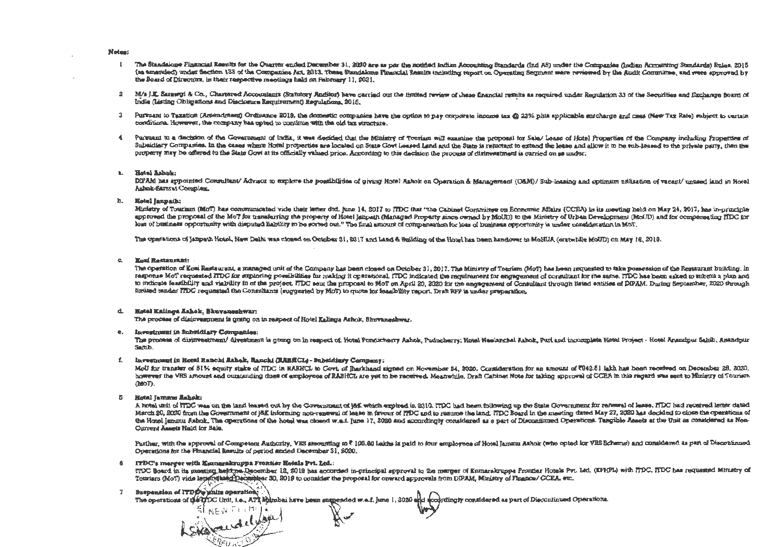## Notes:

- $\mathbf{r}$ The Standalone Financial Results for the Quarter ended December 31, 2020 are as per the notified Indian Accounting Standards (Ind AS) under the Companies (Indien Accounting Standards) Rules, 2015 (as amended) under Section 133 of the Companies Act, 2013. These Standalone Financial Results including report on Operating Segment ware reviewed by the Audit Committee, and were approved by the Board of Directors, in their respective meetings hald on Fabruary 11, 2021.
- 2 M/s J.E. Sarawut & Co., Chartered Accountants (Statutory Anditor) have carried out the limited review of these financial results as required under Regulation 33 of the Securities and Exchange Board of India (Listing Obligations and Disclosure Requirement) Requlations, 2016.
- 3 Pursuant to Taxation (Amendment) Ordinance 2019, the domestic companies have the option to pay corporate income tax @ 23% plus applicable surcharge and cass (New Tax Rate) subject to cartain conditions. However, the company has opted to continue with the old tax structure.
- $\sim$ Purmant to a decision of the Government of India, it was decided that the Ministry of Touriam will examine the proposal for Sala/ Lease of Hotel Properties of the Company including Properties of Subsidiary Companies. In the cases where Hotel properties are located on State Covt Lessed Land and the State is reluctant to extend the lease and allow it to be sub-leased to the private party, then the property may be offered to the State Govt at its officially valued price. According to this decision the process of disinvestment is carried on as under:

#### Barriott in Hotel Ashak:

DIPAM has appointed Consultant/ Advisor to explore the possibilities of giving Hotel Ashok on Operation & Management (O&M)/ Sub-leasing and optimum utilisation of vacant/ unused land in Hotel Ashok-Samusi Complex.

b. Hotel lannath:

Ministry of Tourism (MoT) has communicated vide their letter dtd. june 14, 2017 to ITDC that "the Cabinet Committee on Economic Affairs (CCEA) in its meeting held on May 24, 2017, has in-principle approved the proposal of the MoT for transferring the property of Hotel Janpath (Managed Property aince owned by MoUD) to the Ministry of Urban Development (MoUD) and for compensating HDC for loss of business opportunity with disputed liability to be sorted out." The final amount of compensation for loss of business opportunity is under consideration in McT.

The operations of Janpath Hotel, New Delki was closed on October 31, 2017 and Land & Building of the Hotel has heen handover to MoHUA (erstwhile MoUD) on May 16, 2019.

c. Kori Restaurant:

The operation of Kosi Rastaurant, a managed unit of the Company has been closed on October 31, 2017. The Ministry of Tourism (MoT) has been requested to take possession of the Restaurant building. In response MoT requested ITDC for exploring possibilities for making it operational. ITDC indicated the requirement for engagement of consultant for the same. ITDC has been saked to submit a plan and to indicate featibility and vability in of the project. ITDC sent the proposal to MoT on April 20, 2020 for the engagement of Consultant through listed antities of DIPAM. During September, 2020 through limited tander ITDC requested the Consultants (suggested by MoT) to quote for feasibility report. Draft RFP is under preparation,

## d. Hotel Kalinga Ashok, Bkuvaneshwar:

The process of disinvestment is guing on in respect of Hotel Kalinga Ashok, Bhuvaneahwar.

## e. Investment in Subsidiary Commanies:

The process of disinvestment/ divertment is going on In respect of: Hotel Pondicherry Ashok, Puducherry: Hotel Nealanchal Ashok, Puri and incomplete Hotel Project - Hotel Anandpur Sakib, Anandpur Saltib.

## f. Investment in Hotal Ranchi Ashok, Ranchi (RABRCL) - Subsidiary Company:

MoU for transfer of 81% againy stake of ITDC in RABHCL to Govt, of Jharkhand signed on November 34, 2020, Consideration for an amount of 7842.81 lakh has been received on December 28, 2020, however the VRS amount and outstanding daes of employees of RABHCL are vet to be received. Meanwhile, Draft Cabinet Note for taking sporoval of CCEA in this regard was sent to Ministry of Tourism OdoT).

5 Hotel Jammu Ashok:

A hotel unit of ITDC was on the land leased out by the Government of J&E which expired in 2010. ITDC had been following up the State Government for renewal of lease. ITDC had received letter dated. March 20, 2020 from the Government of J&K informing non-renewal of lease in favour of ITDC and to resume the land. HDC Board in the meeting dated May 27, 2020 has decided to close the operations of the Hotel Jammu Ashok. The operations of the hotel was closed w.a.i. June 17, 2020 and accordingly considered as a part of Discontinued Operations. Tangible Assets at the Unit as considered as Non-Current Assets Hald for Sala.

Parther, with the approval of Competent Authority, VES amounting to ₹ 106.60 Lakhs is paid to four amployees of Hotal Jamma Ashok (who opted for VES Scheme) and considered as part of Discontinued Operations for the Phuncial Results of period anded December 31, 2020.

## 6 ITDC's merger with Kumarakruppa Frontier Hotels Pvt. Ltd.:

ITOC Board in its meeting held on December 12, 2019 has accorded in-principal approval to the marger of Kumarakruppa Frontier Hotels Pvt. Idd. (EFHPL) with ITDC. ITDC has requested Ministry of Tourism (MoT) vide letter diaed December 30, 2019 to consider the proposal for onward approvals from DPAM, Ministry of Finance/ CCEA, etc.

## 7 Suspension of ITDO's units operation;

The operations of the TDC Unit, i.e., ATA Mumbai have been suggended w.e.f. june 1, 2020 and accordingly considered as part of Discontinued Operations.

الأرابين وترا Showdelysy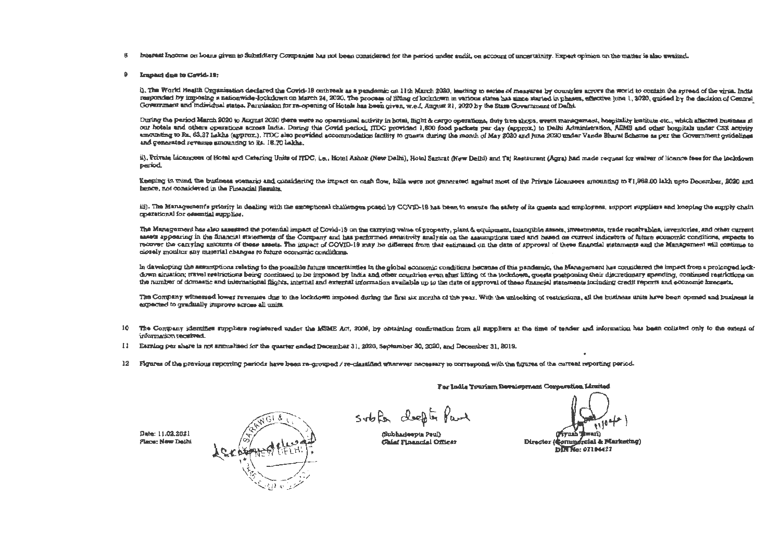- Interest Income on Loans given to Subsidiary Companies has not been considered for the period under audit, on account of uncertainity. Expert opinion on the matter is also swaited. 8
- в. Impact due to Covid-19:

i). The World Health Organization declared the Covid-19 outbreak as a pandemic on 11th March 2020, leading to saties of measures by countries acrors the world to contain the spreed of the virus. India responded by imposing a nationwide-lockdown on March 24, 2020. The process of lifting of lockdown in various states has eince started in phases, affective june 1, 3020, quided by the decision of Central Government and individual states. Parmission for re-opening of Hotels has been given, w.e.f. August 21, 2020 by the State Government of Dalhi.

During the period March 2020 to August 2020 there were no operational activity in hotal, flight & cargo operations, duty free shops, event management, hospitality institute etc., which affected business at our hotels and others operations across India. During this Covid period, ITDC provided 1,600 food packets per day (approx) to Dalhi Administration, AIMS and other hospitals under CSR activity amounting to Rz, 63,27 Lakhs (approx.). ITDC also provided accommodation facility to questa during the month of May 2020 and hine 2020 under Vande Bharat Scheme as per the Government omdelines and generated revenue amounting to Rs. 16.70 lakhs.

ii). Private Idcancees of Hotel and Catering Units of ITDC, i.e., Hotel Ashok (New Delhi), Hotel Samrat (New Delhi) and Taj Restaurant (Agra) had made request for waiver of licence fees for the lockslown period.

Keeping in mind the business scenario and considering the impact on cash flow, hills were not qenerated against most of the Private Licensees amounting to  $\overline{51,968.00}$  lakh upto December, 2020 and bence, not considered in the Financial Results.

iii). The Management's priority in dealing with the exceptional challenges posed by COVID-19 has been to ensure the safety of its quests and employees, support suppliers and heeping the supply operational for essential supplies.

The Management has also assessed the potential impact of Covid-13 on the carrying value of property, plant & equipment, intangible assets, investments, trade receivables, inventories, and other current assets appearing in the financial statements of the Company and has performed sensitivity analysis on the assumptions used and based on current indicators of future economic conditions, expects to recover the carrying amounts of these assets. The impact of COVID-19 may be different from that estimated on the date of approval of these financial statements and the Management will continue to closely monitor any material changes to future economic conditions.

In daveloping the assumptions relating to the possible future uncertaintles in the global economic conditions because of this pandemic, the Management has considered the impact from a prolonged lockdown aircation; travel restrictions being continued to be imposed by India and other countries even after lifting of the lockdown, quests postponing their discretionary spending, continued restrictions on the number of domestic and international flights, internal and external information available up to the date of approval of these financial statements including credit reports and economic hrecasts.

The Company witnessed lower revenues due to the lockdown imposed during the first six months of the year. With the unlocking of restrictions, all the business units have been opened and business is expected to cradually improve across all units.

- 10 The Company identifies suppliers requirered under the MSME Act. 2006, by obtaining confirmation from all suppliers at the time of tender and information has been collated only to the extent of information received.
- II Earning per share is not annualised for the quarter ended December 31, 2020, September 30, 2020, and December 31, 2019.
- 12 Figures of the previous reporting periods have been re-grouped / re-classified wherever necessary to correspond with the figures of the carrent reporting period.

Date: 11.02.2021 Place: New Dalhi

soble deepth fand

(Subhadeepta Paul) **Chief Financial Offices** 

Director (Commercial & Marketing)

For India Tourism Development Corporation Limited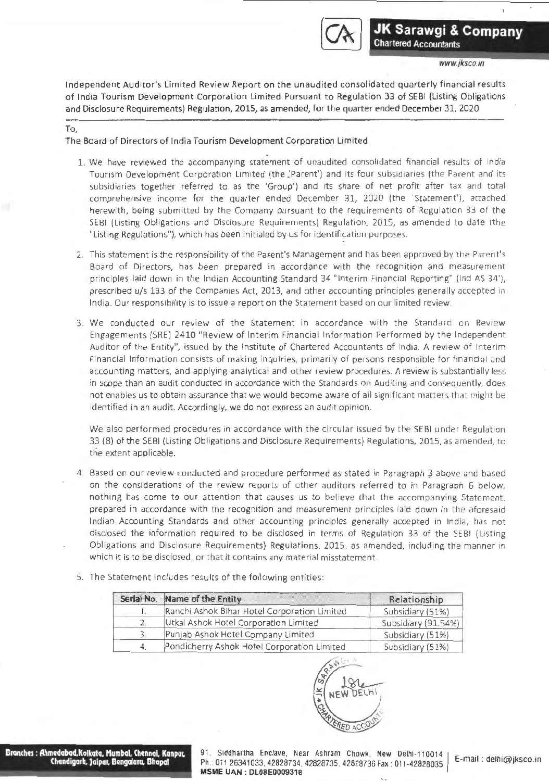

Independent Auditor's Limited Review Report on the unaudited consolidated quarterly financial results of India Tourism Development Corporation limited Pursuant to Regulation 33 of SEBI (listing Obligations and Disclosure Requirements) Regulation, 2015, as amended, for the quarter ended December 31, 2020

## To,

The Board of Directors of India Tourism Development Corporation Limited

- 1. We have reviewed the accompanying statement of unaudited consolidated financial results of India Tourism Development Corporation Limited (the 'Parent') and its four subsidiaries (the Parent and its subsidiaries together referred to as the 'Group') and its share of net profit after tax and total comprehensive income for the quarter ended December 31, 2020 (the 'Statement'), attached herewith, being submitted by the Company pursuant to the requirements of Regulation 33 of the SEBI {listing Obligations and Disclosure Requirements) Regulation, 2015, as amended to date (the "Listing Regulations"), which has been initialed by us for identification purposes.
- 2. This statement is the responsibility of the Parent's Management and has been approved by the Parent's Board of Directors, has been prepared in accordance with the recognition and measurement principles laid down in the Indian Accounting Standard 34 "Interim Financial Reporting" (Ind AS 34'), prescribed u/s 133 of the Companies Act, 2013, and other accounting principles generally accepted in India. Our responsibility is to issue a report on the Statement based on our limited review.
- 3. We conducted our review of the Statement in accordance with the Standard on Review Engagements (SRE) 2410 "Review of Interim Financial Information Performed by the Independent Auditor of the Entity", issued by the Institute of Chartered Accountants of India. A review of Interim Financial Information consists of making inquiries, primarily of persons responsible for financial and accounting matters, and applying analytical and other review procedures. A review is substantially less in scope than an audit conducted in accordance with the Standards on Auditing and consequently, does not enables us to obtain assurance that we would become aware of all significant matters that might be identified in an audit. Accordingly, we do not express an audit opinion.

We also performed procedures in accordance with the circular issued by the SEBI under Regulation 33 (8) of the SEBI (Listing Obligations and Disclosure Requirements) Regulations, 2015, as amended, to the extent applicable.

- 4. Based on our review conducted and procedure performed as stated in Paragraph 3 above and based on the considerations of the review reports of other auditors referred to in Paragraph 6 below, nothing has come to our attention that causes us to believe that the accompanying Statement, prepared in accordance with the recognition and measurement principles laid down in the aforesaid Indian Accounting Standards and other accounting principles generally accepted in India, has not disclosed the information required to be disclosed in terms of Regulation 33 of the SEBI (listing Obligations and Disclosure Requirements) Regulations, 2015, as amended, including the manner in which it is to be disclosed, or that it contains any material misstatement.
- 5. The Statement includes results of the following entities:

| Serial No. Name of the Entity                | Relationship        |
|----------------------------------------------|---------------------|
| Ranchi Ashok Bihar Hotel Corporation Limited | Subsidiary (51%)    |
| Utkal Ashok Hotel Corporation Limited        | Subsidiary (91.54%) |
| Punjab Ashok Hotel Company Limited           | Subsidiary (51%)    |
| Pondicherry Ashok Hotel Corporation Limited  | Subsidiary (51%)    |



**Drcmchqs : Ahmedabod,Kolkata, Mumbai, Chennal, Kanpur. Chandigarh. Jaipur, Dengaluru, Bhopal** 

91. Siddhartha Enclave, Near Ashram Chowk, New Delhi-110014 Ph: 011 26341033, 42828734, 42828735. 42828736 Fax: 01 1-42828035 E-mail : delhi@jksco.in **MSME UAN :** OL08E0009318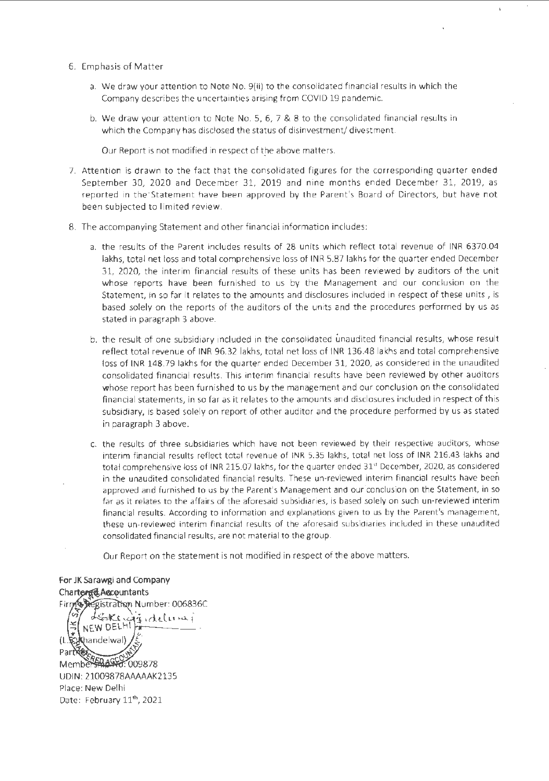- 6. Emphasis of Matter
	- a. We draw your attention to Note No. 9(ii) to the consolidated financial results in which the Company describes the uncertainties arising from COVID 19 pandemic.
	- b. We draw your attention to Note No. 5, 6, 7 & 8 to the consolidated financial results in which the Company has disclosed the status of disinvestment/ divestment.

Our Report is not modified in respect of the above matters.

- 7. Attention is drawn to the fact that the consolidated figures for the corresponding quarter ended September 30, 2020 and December 31, 2019 and nine months ended December 31, 2019, as reported in the·statement have been approved by the Parent's Board of Directors, but have not been subjected to limited review.
- 8. The accompanying Statement and other financial information includes:
	- a. the results of the Parent includes results of 28 units which reflect total revenue of INR 6370.04 lakhs, total net loss and total comprehensive loss of INR 5.87 lakhs for the quarter ended December 31, 2020, the interim financial results of these units has been reviewed by auditors of the unit whose reports have been furnished to us by the Management and our conclusion on the Statement, in so far it relates to the amounts and disclosures included in respect of these units, is based solely on the reports of the auditors of the units and the procedures performed by us as stated in paragraph 3 above.
	- b. the result of one subsidiary included in the consolidated unaudited financial results, whose result reflect total revenue of INR 96.32 lakhs, total net loss of INR 136.48 lakhs and total comprehensive loss of INR 148.79 lakhs for the quarter ended December 31, 2020, as considered in the unaudited consolidated financial results. This interim financial results have been reviewed by other auditors whose report has been furnished to us by the management and our conclusion on the consolidated financial statements, in so far as it relates to the amounts and disclosures included in respect of this subsidiary, is based solely on report of other auditor and the procedure performed by us as stated in paragraph 3 above.
	- c. the results of three subsidiaries which have not been reviewed by their respective auditors, whose interim financial results reflect total revenue of INR 5.35 lakhs, total net loss of INR 216.43 lakhs and total comprehensive loss of INR 215.07 lakhs, for the quarter ended 31<sup>st</sup> December, 2020, as considered in the unaudited consolidated financial results. These un-reviewed interim financial results have been approved and furnished to us by the Parent's Management and our.conclusion on the Statement, in so far as it relates to the affairs of the aforesaid subsidiaries, is based solely on such un-reviewed interim financial results. According to information and explanations given to us by the Parent's management, these un-reviewed interim financial results of the aforesaid subsidiaries included in these unaudited consolidated financial results, are not material to the group.

Our Report on the statement is not modified in respect of the above matters.

For JK Sarawgi and Company Charter Charter Firm & Registration Number: 006836C LEokingisidelumi NEW DELHI handelwal)  $(T\mathcal{R})$ Pari Member 44447.009878 UDIN: 21009878AAAAAK2135 Place: New Delhi Date: February 11<sup>th</sup>, 2021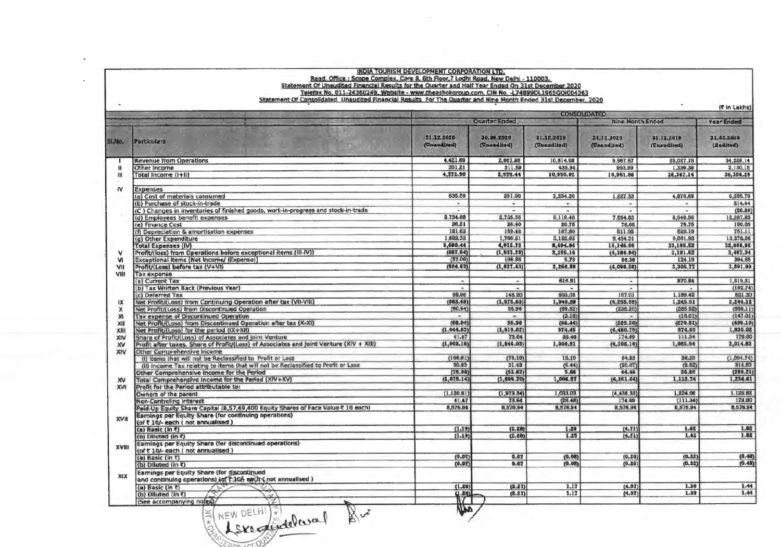|             | Telefax No. 011-24360249, Website - www.theashokgroup.com, CIN No. -L74899DL1965GOI004363<br>Statement Of Consolidated Unaudited Financial Results For The Quarter and Nine Month Ended 31st December, 2020 |                           |                           |                           |                           |                           |                         |
|-------------|-------------------------------------------------------------------------------------------------------------------------------------------------------------------------------------------------------------|---------------------------|---------------------------|---------------------------|---------------------------|---------------------------|-------------------------|
|             |                                                                                                                                                                                                             |                           |                           |                           | <b>CONSOLIDA (ED)</b>     |                           | (C in Lakhs)            |
|             |                                                                                                                                                                                                             |                           | <b>Quarter Ended</b>      |                           | Nine Month Ended          |                           | Year Ended              |
| SLIKO.      | <b>Particulars</b>                                                                                                                                                                                          | 31.12.2020<br>(Unaudited) | 20.09.2020<br>(Unaudited) | 31.12.2019<br>(Unaudited) | 31.12.2020<br>(Unaudited) | 31.12.2019<br>(Unaudited) | 31.03.2020<br>(Audited) |
|             | <b>Revenue from Operations</b>                                                                                                                                                                              | 4.421.69                  | 2,667.85                  | 10,514.08                 | 9,967.57                  | 25,027.75                 | 34,228.14               |
| и           | Other Income                                                                                                                                                                                                | 351.21                    | 311.59                    | 435.94                    | 993.99                    | 1,339.39                  | 2,130.15                |
| Ħ           | Total Income (I+II)                                                                                                                                                                                         | 4.772.90                  | 2,979.44                  | 10,950.02                 | 10,961.56                 | 26,367.14                 | 36,356.29               |
| IV          | Expenses                                                                                                                                                                                                    |                           |                           |                           |                           |                           |                         |
|             | (a) Cost of materials consumed                                                                                                                                                                              | 835.59                    | 291.00                    | 2,234.20                  | 1.227.33                  | 4,876.69                  | 6,556.70                |
|             | (b) Purchase of stock-in-trade                                                                                                                                                                              | ×                         | ÷                         |                           | $\sim$                    |                           | 814.44                  |
|             | (C ) Changes in inventories of finished goods, work-in-progress and stock-in-trade                                                                                                                          |                           |                           | $\overline{\phantom{a}}$  |                           | ٠                         | (28.86)                 |
|             | (d) Employees benefit expenses                                                                                                                                                                              | 2,734.68                  | 2,735.35                  | 3,119.43                  | 7,894.83                  | 8,649.96                  | 12,287.83               |
|             | (e) Finance Cost                                                                                                                                                                                            | 26,21                     | 26.40                     | 20.78                     | 78.66                     | 76.76                     | 100.05                  |
|             | (f) Depreciation & amortisation expenses                                                                                                                                                                    | 181.63                    | 159.46                    | 167.80                    | 511.35                    | 520.19                    | 751.11                  |
|             | (g) Other Expenditure                                                                                                                                                                                       | 1,882,33                  | 1,700.51                  | 3.152.65                  | 5,434.31                  | 9,061.92                  | 12,378.68               |
|             | <b>Total Expenses (IV)</b>                                                                                                                                                                                  | 5,660.44                  | 4,912.72                  | 8,694.86                  | 15,146.50                 | 23,185.52                 | 32,658.95               |
|             | Profit/(loss) from Operations before exceptional items (III-IV))                                                                                                                                            | (887.54)                  | (1, 933, 28)              | 2,255.16                  | (4, 184.94)               | 3,181.62                  | 3,497.34<br>394.65      |
| vi          | Exceptional Items [Net Income/ (Expense)]                                                                                                                                                                   | (37.09)<br>(924.63)       | 108.85<br>(1, 827.43)     | 5.73<br>2,260.89          | 86.36<br>(4,098,58)       | 124.15<br>3,305.77        | 3,891.99                |
| VII<br>VIII | Profit/(Loss) before tax (V+VI)                                                                                                                                                                             |                           |                           |                           |                           |                           |                         |
|             | <b>Tax expense</b><br>(a) Current Tax                                                                                                                                                                       |                           |                           | 616.91                    | $\omega$                  | 870.84                    | 1,319.31                |
|             | (b) Tax Written Back (Previous Year)                                                                                                                                                                        | ×.                        | $\sim$                    | $\bullet$                 | $\overline{a}$            |                           | (182.74)                |
|             | (c) Deferred Tax                                                                                                                                                                                            | 59.06                     | 148 20                    | 603.09                    | 157.01                    | 1,189.42                  | 521.30                  |
| 以           | Net Profit/(Loss) from Continuing Operation after tax (VII-VIII)                                                                                                                                            | (983.69)                  | (1, 975.63)               | 1,040.89                  | (4, 255.59)               | 1,245.51                  | 2,244.12                |
| x           | Net Profit/(Loss) from Discontinued Operation                                                                                                                                                               | (60.94)                   | 55.96                     | (69.52)                   | (235.20)                  | (285.92)                  | (556.11)                |
| DC.         | <b>Tax expense of Discontinued Operation</b>                                                                                                                                                                |                           |                           | (3.18)                    |                           | (15.01)                   | (147.01)                |
| XII         | Net Profit/(Loss) from Discontinued Operation after tax (X-XI)                                                                                                                                              | (00.94)                   | 55.96                     | (66.44)                   | (225, 20)                 | (270.91)                  | (409.10)                |
| XIII        | Net Profit/(Loss) for the period (IX+XII)                                                                                                                                                                   | (1,044.63)                | (1, 919.67)               | 974.45                    | (4, 480.79)               | 374.60                    | 1,835.02                |
| XIV         | Share of Profit/(Loss) of Associates and Joint Venture                                                                                                                                                      | 41.47                     | 73.64                     | 26.46                     | 174.69                    | 111.34                    | 179.80                  |
| xv          | Profit after taxes, Share of Profit/(Loss) of Associates and Joint Venture (XIV + XIII)                                                                                                                     | (1,003.16)                | (1, 846.03)               | 1,000.91                  | (4, 306, 10)              | 1,085.94                  | 2,014.82                |
| XIV         | Other Comprehensive Income                                                                                                                                                                                  |                           |                           |                           |                           |                           |                         |
|             | (I) Items that will not be Reclassified to Profit or Loss                                                                                                                                                   | (106.81)                  | (76.10)                   | 12,10                     | 64.53                     | 36,32                     | (1,094.74)              |
|             | (ii) income Tax relating to items that will not be Reclassified to Profit or Loss                                                                                                                           | 30.83                     | 21.43                     | (6.44)                    | (20.07)                   | (9.82)                    | 314.53                  |
|             | Other Comprehensive Income for the Period                                                                                                                                                                   | (75.98)                   | (53.67)                   | 5.66                      | 44.46                     | 26.80                     | (780.21)                |
| XV          | Total Comprehensive Income for the Period (XIV+XV)                                                                                                                                                          | (1,079,14)                | (1, 699.70)               | 1,006.57                  | (4, 261.64)               | 1,112.24                  | 1,234.61                |
| <b>XVI</b>  | Profit for the Period attributable to:                                                                                                                                                                      |                           |                           |                           |                           |                           |                         |
|             | Owners of the parent                                                                                                                                                                                        | (1, 120.61)               | (1, 973.34)               | 1,033.03                  | (4, 438.33)               | 1,224.08<br>(111.34)      | 1.125.82<br>179.80      |
|             | <b>Non-Controling Interest</b>                                                                                                                                                                              | 41.47<br>8,576.94         | 73.64<br>8,576,94         | (26.46)<br>8,576.94       | 174.69<br>8,576.94        | 8,576.94                  | 8.576.94                |
|             | Paid-Up Equity Share Capital (8,57,69,400 Equity Shares of Face Value ₹ 10 each)<br>Earnings per Equity Share (for continuing operations)                                                                   |                           |                           |                           |                           |                           |                         |
| XVII        | (of ₹ 10/- each (not annualised)                                                                                                                                                                            |                           |                           |                           |                           |                           |                         |
|             | (a) Basic (in C)                                                                                                                                                                                            | (1.19)                    | (2.21)                    | 1.25                      | (4.71)                    | 1.62                      | 1.92                    |
|             | (b) Diluted (in ₹)                                                                                                                                                                                          | (1.19)                    | (2.28)                    | 1.25                      | (4.11)                    | 1.42                      | 1.92                    |
|             | Earnings per Equity Share (for discontinued operations)                                                                                                                                                     |                           |                           |                           |                           |                           |                         |
| XVIII       | (of ₹ 10/- each (not annualised)                                                                                                                                                                            |                           |                           |                           |                           |                           |                         |
|             | (a) Basic (in $\bar{z}$ )                                                                                                                                                                                   | (0.07)                    | 0.07                      | (0.08)                    | (0.26)                    | (0.32)                    | (0.48)                  |
|             | (b) Diluted (in ₹)                                                                                                                                                                                          | (0.07)                    | 0.07                      | (0.08)                    | (0.26)                    | (0.32)                    | (0.48)                  |
|             | Earnings per Equity Share (for discontinued                                                                                                                                                                 |                           |                           |                           |                           |                           |                         |
| XIX         | and continuing operations) (of ₹ 10% each ( not annualised )                                                                                                                                                |                           |                           |                           |                           |                           |                         |
|             | (a) Basic (In ₹)                                                                                                                                                                                            | (1.26)                    | (2.21)                    | 1.17                      | (4.97)                    | 1.30                      | 1.44                    |
|             | (b) Diluted (in $\overline{\epsilon}$ )                                                                                                                                                                     | 0.30                      | (2.21)                    | 1,17                      | (4.97)                    | 1.30                      | 1.44                    |
|             | (See accompanying notes)/                                                                                                                                                                                   | $\mathcal{U}$             |                           |                           |                           |                           |                         |
|             | NEW DELHI & delcoral 82                                                                                                                                                                                     | בנו                       |                           |                           |                           |                           |                         |
|             |                                                                                                                                                                                                             |                           |                           |                           |                           |                           |                         |
|             |                                                                                                                                                                                                             |                           |                           |                           |                           |                           |                         |

 $\bar{z}$ 

 $\cdot$ 

Г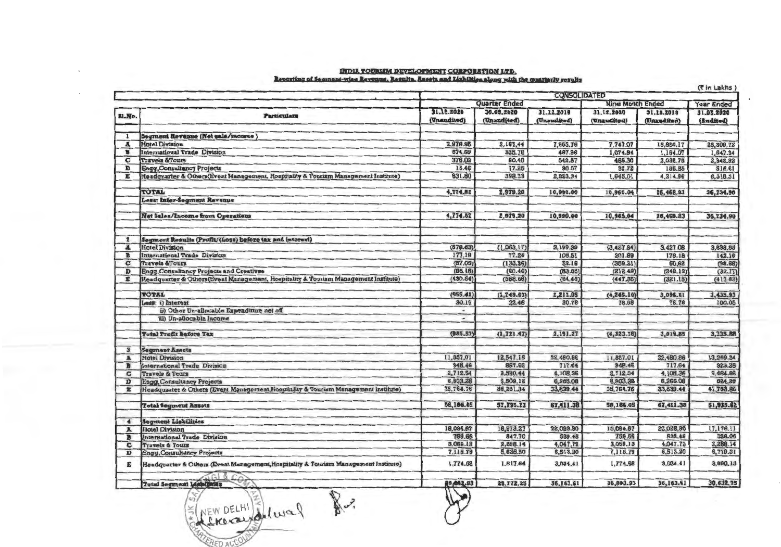| INDIA TOURLIM DEVELOPMENT CORPORATION LTD.                                                        |
|---------------------------------------------------------------------------------------------------|
| Reporting of Segment-wise Revenue. Results. Assets and Liabilties along with the quarterly result |

| \$1.No.              |                                                                                     |             |               | <b>CONSOLIDATED</b> |                         |             |                   |
|----------------------|-------------------------------------------------------------------------------------|-------------|---------------|---------------------|-------------------------|-------------|-------------------|
|                      |                                                                                     |             | Quarter Ended |                     | <b>Nine Month Ended</b> |             | <b>Year Ended</b> |
|                      | <b>Particulars</b>                                                                  | 31.12.2020  | 30.09.2020    | 31.12.2019          | 31.12.2020              | 31,12,2019  | 31.03.2020        |
|                      |                                                                                     | (Unandited) | (Unaudited)   | (Unaudited)         | (Unaudited)             | (Unaudited) | (Audited)         |
| 1                    | Segment Revenue (Net sale/income)                                                   |             |               |                     |                         |             |                   |
| A                    | <b>Hotel Division</b>                                                               | 2,976.95    | 2,167.44      | 7,665.76            | 7,747.07                | 18,866.17   | 25,309.72         |
| в                    | <b>International Trade Division</b>                                                 | 574.59      | 335.78        | 467.96              | 1,074.94                | 1.164.07    | 1,647.34          |
| C                    | <b>Travels &amp;Tours</b>                                                           | 376.02      | 60.40         | 542.87              | 465.30                  | 2,036.78    | 2,942.92          |
| D                    | <b>Engy, Consultancy Projects</b>                                                   | 15.46       | 17.25         | 90.07               | 32.72                   | 186.B5      | <b>S16.61</b>     |
| E                    | Headquarter & Others (Event Management, Hospitality & Tourism Management Institute) | 831.80      | 398.33        | 2,223.34            | 1,645.01                | 4,214.96    | 6,318.31          |
|                      |                                                                                     |             |               |                     |                         |             |                   |
|                      | <b>TOTAL</b>                                                                        | 4,774.82    | 2,979.20      | 10,990.00           | 10,965.04               | 26,468.83   | 36,734.90         |
|                      | Less: Inter-Segment Revenue                                                         |             |               |                     |                         |             |                   |
|                      | Net Sales/Income from Operations                                                    | 4,774.82    | 2,979.20      | 10,990.00           | 10,965.04               | 26,468.83   | 36,734.90         |
| 2                    | Segment Results (Profit/(Loss) before tax and interest)                             |             |               |                     |                         |             |                   |
| л                    | <b>Hotel Division</b>                                                               | (678.83)    | (1,063,17)    | 2,199,39            | (3,427.94)              | 3,427.08    | 3,838.85          |
| в                    | International Trade Division                                                        | 177.19      | 77.26         | 108.51              | 201.89                  | 178.18      | 142.16            |
| C                    | <b>Travels &amp;Tours</b>                                                           | (37.06)     | (133.96)      | 52.16               | (389.21)                | 60.62       | (98.68)           |
| D                    | Engg, Consultancy Projects and Creatives                                            | (86.18)     | (60.46)       | (83.55)             | (212.49)                | (248.12)    | (32.77)           |
| E                    | Headquarter & Others (Event Management, Hospitality & Touriam Management Institute) | (430.54)    | (568.68)      | (64.46)             | (447.35)                | (321.15)    | (413.83)          |
|                      |                                                                                     |             |               |                     |                         |             |                   |
|                      | <b>TOTAL</b>                                                                        | (955.41)    | (1, 749.01)   | 2,212.05            | (4, 245.10)             | 3,096.61    | 3,435.93          |
|                      | Less: i) Interest                                                                   | 30.16       | 22.46         | 20.78               | 78.68                   | 76.76       | 100.05            |
|                      | ii) Other Un-allocable Expenditure net off                                          | ٠           |               |                     |                         |             |                   |
|                      | iii) Un-allocable Income                                                            | ۰           |               |                     |                         |             |                   |
|                      | <b>Total Profit Refore Tax</b>                                                      | (985.57)    | (1, 771.47)   | 2,191.27            | (4,323.76)              | 3,019.85    | 3,335.88          |
| 3                    | <b>Segment Assets</b>                                                               |             |               |                     |                         |             |                   |
| Ä                    | <b>Hotel Division</b>                                                               | 11,857.01   | 12,547.15     | 22,460.86           | 11,857.01               | 22,480.86   | 13,259.34         |
| в                    | International Trade Division                                                        | 948.46      | 857.62        | 717.64              | 948.46                  | 717.64      | 923.28            |
| c                    | <b>Travels &amp; Tours</b>                                                          | 2,712.54    | 3,590.44      | 4,108.36            | 2,712.54                | 4,108.36    | 5,464.86          |
| Ð                    | <b>Engg, Consultancy Projects</b>                                                   | 6,903,28    | 5,509.18      | 6,265.08            | 6,903.38                | 6,265.08    | 324.28            |
| Έ                    | Headquarter & Others (Event Management, Hospitality & Tourism Management Institute) | 35,764.76   | 36,291.34     | 33,839.44           | 35,764.76               | 33,839.44   | 41,763.86         |
|                      | <b>Total Segment Assets</b>                                                         | 58,166.05   | 57,795.73     | 67,411.38           | 58,186.05               | 67,411.38   | 61,935.62         |
| $\blacktriangleleft$ | <b>Segment Liabilities</b>                                                          |             |               |                     |                         |             |                   |
| Ã                    | <b>Hotel Division</b>                                                               | 18,094.67   | 18,573.27     | 22,028.80           | 18,094.67               | 22,028.00   | 17,176.11         |
| n                    | International Trade Division                                                        | 759.66      | 847.70        | 539.48              | 759,66                  | 539.48      | 528.06            |
| c                    | <b>Travels &amp; Tours</b>                                                          | 3,059.13    | 2,898.14      | 4,047.72            | 3,069.13                | 4.047.72    | 3,288.14          |
| D                    | <b>Engg.Consultancy Projects</b>                                                    | 7,115.79    | 5,635.50      | 6,513.20            | 7,115.79                | 6,513.20    | 5,779.31          |
| E                    | Headquarter & Others (Event Management, Hospitality & Tourism Management Institute) | 1,774.68    | 1,817.64      | 3,034.41            | 1,774.68                | 3,034.41    | 3,860.13          |
|                      | <b>Total Segment Liabilities</b>                                                    | 80,003.93   | 29,772.25     | 36,163.61           | 30,803.93               | 36,163.61   | 30,632.75         |

REMOGRAPHICAL R.

**ERED ACCOM**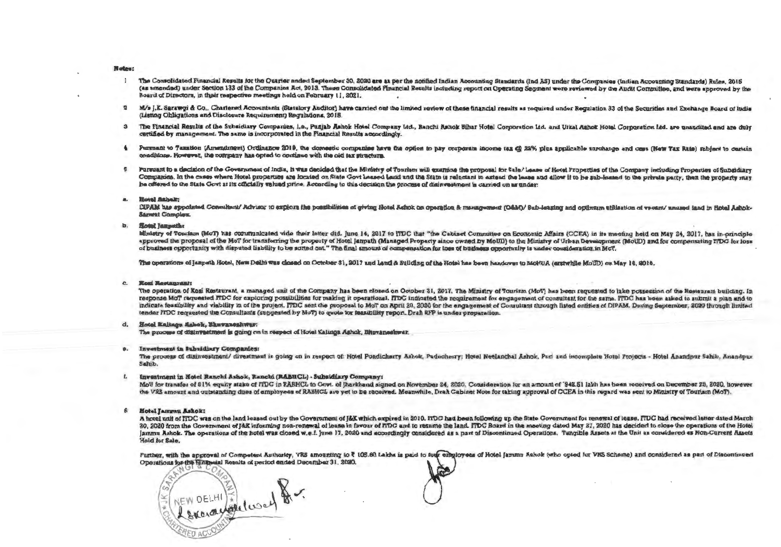### **Notes:**

- The Consolidated Financial Results for the Quarter ended September 30, 2020 are as per the notified Indian Appointing Standards (Ind. 55) under the Communica (Indian Appointing Standards) Pulse, 2015 (as amended) under Section 133 of the Companies Act, 2013. These Consolidated Financial Results including report on Operating Sections I wave reviewed by the Audit Computing and were considered in the financial method of t Board of Directors, in their respective meetings held on February 11, 2021
- 2 M/s J.K. Sarawgi & Co., Charlered Accountants (Statutory Anditor) have carried out the limited varior of these financial ventities are provided under Permission 23 of the Somroties and Exchange Board of the (Listing Obligations and Disclosure Requirement) Reculations, 2018.
- 3 The Financial Results of the Subsidiary Companies, i.e., Punjab Ashok Hotel Company 14d, Ranchi Subok Bihar Hotel Corporation 14d, and 19641 September 14d, are presention 14d, are presented and you did are an an of the certified by management. The same is incorporated in the Financial Results accordingly
- 4 Parsuant to Taxation (Amendment) Ordinance 2019, the domestic companies have the ordion to pay currying income to @ 22% plus applicable envolved and case there were Dated relations to excels conditions. However, the company has orded to continue with the old tex structure.
- Pursuant to a decision of the Government of India. If was decided that the Ministry of Tourism will examine the covenage for Sale/Leage of the distance of the Company including Departing of Cubatity c. Commanies. In the cases where Hotel properties are located on State Covt Leased Land and the State is relation to extend the lease and allow it to be anti-to-per the principal monotor property and be offered to the State Govt at its officially valued price. According to this decision the process of disjugatement is carried on as under-

#### . . **Hotel Ashair**

DIPAM has sponisted Consultant/ Advisor to explore the meshibities of eleine Hotel Rebels on emperador & management (CAM) / 0-b leading and entirement and interest cannot consultant in the Unit Little Little Little Little **Barrest Complex** 

## **b.** Hotel langeths

Ministry of Touriam (MoT) has communicated vide their letter dtd. June 14, 2017 to PDC that "the Cabinet Committee on Pronomic Affairs (CCEA) in its meeting hald on May 24, 2017, has in principle. approved the proposal of the MoT for transferring the property of Hotel Jamath (Managed Property since owned by MoIID) to the Ministry of Ushan Democrany (MoIID) and for company (MoIID) and for company (MoIID) to the Minis of business opportunity with disputed lisbility to be sorted out." The final amount of companies for these of business competitive is ander countdary for the south of the set of the set of the countdary countdary for the M

The operations of langeth Hotel, New Daihi was closed on October 31, 2017 and Land & Building of the Hotel has been bandows to MoHUS (exterbite MoHU) on May 14, 2018

#### c. **Kool Restaurant:**

The operation of Kosi Restaurant, a managed unit of the Company has been closed on October 31, 2017. The Minister of Powiev (MrCh has been recuperted to take presenting of the Bestensent building In response MoT requested ITDC for exploring possibilities for making it operational. ITDC indicated the recmirement for engagement of consultant for the same iTDC has been asked to submit a plan and in indicate feasibility and viability in of the project. FFDC sent the proposal to MoT on April 20, 2020 for the engagement of Consultant through listed ontities of DIREM, During September, 2020 through limited tender ITDC requested the Consultants (suggested by McT) to guide for fragibility report. Draft RFP is under preparation

## d. Hotel Kalinon Eshok, Bhuyaneshwar:

The process of distrustment is going on in respect of Hotel Kalinga Ashok, Bhowaneshwar,

## **Investment in Subsidiary Companies:**

The process of disinvestment/ divestment is going on in respect of: Hotel Pondicherry Ashok, Puducherry: Hotel Neelanchal Ashok, Puri and incomplete Hotel Projects - Hotel Association, Sakin, Kanademy dida<sup>2</sup>

## Investment in Hotel Ranchi Ashok, Ranchi (BABHCL) - Subsidiary Company-

MoU for transfer of 51% equity stake of ITDC in RABHCL to Govt, of tharkhand signed on November 24, 2020. Consideration for an amount of '042 61 table has been received on Decretions on 9000 to success the VRS amount and outstanding dues of amployees of RABHCL are yet to be received. Moanwhile, Draft Cabinet Note for taking approval of CCEA in this person was east to Ministry of Tourism (MeT).

## **Hotel Jammu Ashok:**

A hotel unit of FIDC was on the land leased out by the Government of I&K which expired in 2010. FIDC had been following up the State Government for renewal of lease. FFDC had received letter dates dates 20, 2020 from the Government of lex informing non-renewal of lease in favour of ITDC and to recume the land. ITDC Roard in the medium dated May 27, 2020 has deviced to chang the recume the second state of the United States ammu Ashok. The operations of the hotel was closed w.e.f. june 17, 2020 and accordingly considered as a nart of Discontinual Crear since. Tangular as the Unit as experienced as a nart of Discontinual Crear interest and the Held for Sale.

Further, with the approval of Competent Authority, VRS amounting to ₹ 105.00 Lakha is paid to forte embolovees of Hotel fammu Ashok (who opted for VRS Schema) and experidured as part of Discountermand Operations for the Hillmoial Results of period ended December 31, 2020.

NEW DELHI Followed 8.